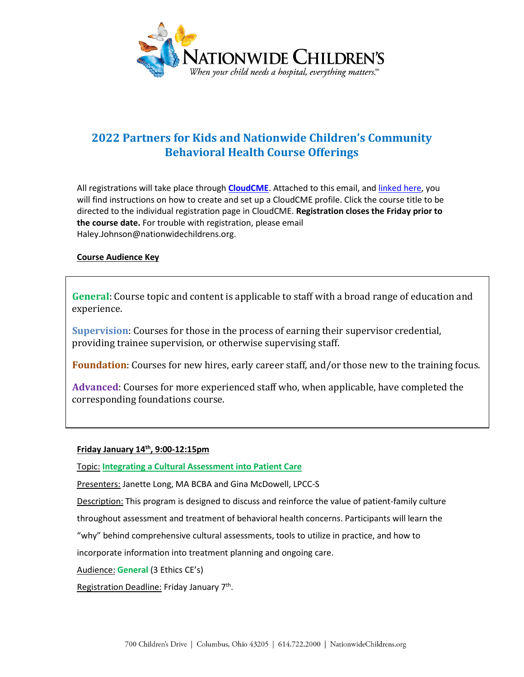

# **2022 Partners for Kids and Nationwide Children's Community Behavioral Health Course Offerings**

All registrations will take place through **[CloudCME](https://nationwidechildrens.cloud-cme.com/)**. Attached to this email, and [linked here,](file://ColumbusChildrens.net/HomeDir/HomeH/hnj002/BH/Cloud%20CME/Instructions%20for%20a%20Creating%20a%20CloudCME%20Account.pdf) you will find instructions on how to create and set up a CloudCME profile. Click the course title to be directed to the individual registration page in CloudCME. **Registration closes the Friday prior to the course date.** For trouble with registration, please email Haley.Johnson@nationwidechildrens.org.

#### **Course Audience Key**

**General**: Course topic and content is applicable to staff with a broad range of education and experience.

**Supervision**: Courses for those in the process of earning their supervisor credential, providing trainee supervision, or otherwise supervising staff.

**Foundation**: Courses for new hires, early career staff, and/or those new to the training focus.

**Advanced**: Courses for more experienced staff who, when applicable, have completed the corresponding foundations course.

## **Friday January 14th, 9:00-12:15pm**

Topic: **[Integrating a Cultural Assessment into Patient Care](https://nationwidechildrens.cloud-cme.com/course/courseoverview?P=0&EID=19125)**

Presenters: Janette Long, MA BCBA and Gina McDowell, LPCC-S

Description: This program is designed to discuss and reinforce the value of patient-family culture

throughout assessment and treatment of behavioral health concerns. Participants will learn the

"why" behind comprehensive cultural assessments, tools to utilize in practice, and how to

incorporate information into treatment planning and ongoing care.

Audience: **General** (3 Ethics CE's)

Registration Deadline: Friday January 7<sup>th</sup>.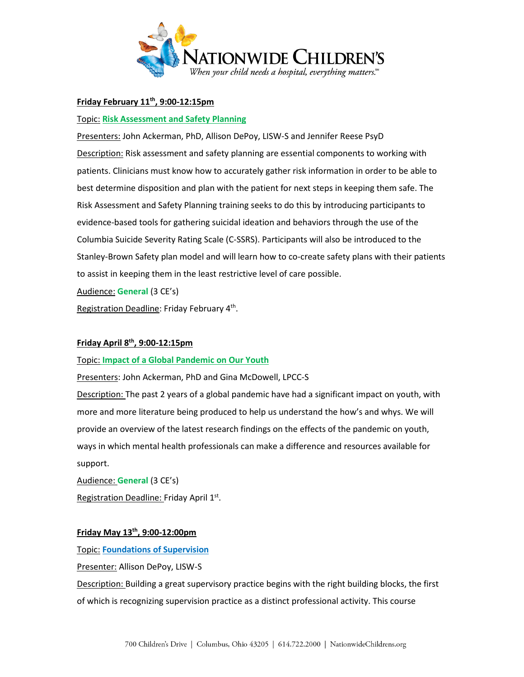

# **Friday February 11th, 9:00-12:15pm**

## Topic: **[Risk Assessment and Safety Planning](https://nationwidechildrens.cloud-cme.com/course/courseoverview?P=0&EID=19127)**

Presenters: John Ackerman, PhD, Allison DePoy, LISW-S and Jennifer Reese PsyD Description: Risk assessment and safety planning are essential components to working with patients. Clinicians must know how to accurately gather risk information in order to be able to best determine disposition and plan with the patient for next steps in keeping them safe. The Risk Assessment and Safety Planning training seeks to do this by introducing participants to evidence-based tools for gathering suicidal ideation and behaviors through the use of the Columbia Suicide Severity Rating Scale (C-SSRS). Participants will also be introduced to the Stanley-Brown Safety plan model and will learn how to co-create safety plans with their patients to assist in keeping them in the least restrictive level of care possible.

Audience: **General** (3 CE's)

Registration Deadline: Friday February 4th.

## **Friday April 8th, 9:00-12:15pm**

## Topic: **[Impact of a Global Pandemic on Our Youth](https://nationwidechildrens.cloud-cme.com/course/courseoverview?P=0&EID=19128)**

Presenters: John Ackerman, PhD and Gina McDowell, LPCC-S

Description: The past 2 years of a global pandemic have had a significant impact on youth, with more and more literature being produced to help us understand the how's and whys. We will provide an overview of the latest research findings on the effects of the pandemic on youth, ways in which mental health professionals can make a difference and resources available for support.

Audience: **General** (3 CE's)

Registration Deadline: Friday April 1st.

## **Friday May 13th, 9:00-12:00pm**

Topic: **[Foundations of Supervision](https://nationwidechildrens.cloud-cme.com/course/courseoverview?P=0&EID=19129)**

Presenter: Allison DePoy, LISW-S

Description: Building a great supervisory practice begins with the right building blocks, the first of which is recognizing supervision practice as a distinct professional activity. This course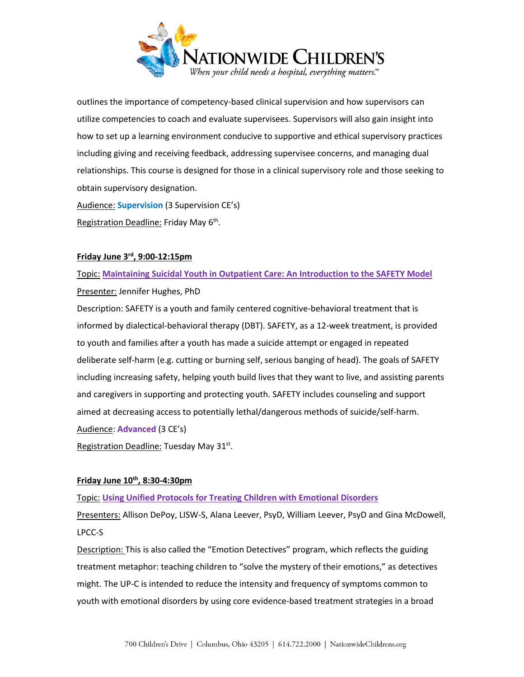

outlines the importance of competency-based clinical supervision and how supervisors can utilize competencies to coach and evaluate supervisees. Supervisors will also gain insight into how to set up a learning environment conducive to supportive and ethical supervisory practices including giving and receiving feedback, addressing supervisee concerns, and managing dual relationships. This course is designed for those in a clinical supervisory role and those seeking to obtain supervisory designation.

Audience: **Supervision** (3 Supervision CE's) Registration Deadline: Friday May 6th.

## **Friday June 3rd, 9:00-12:15pm**

Topic: **[Maintaining Suicidal Youth in Outpatient Care: An Introduction to the SAFETY Model](https://nationwidechildrens.cloud-cme.com/course/courseoverview?P=0&EID=22285)** Presenter: Jennifer Hughes, PhD

Description: SAFETY is a youth and family centered cognitive-behavioral treatment that is informed by dialectical-behavioral therapy (DBT). SAFETY, as a 12-week treatment, is provided to youth and families after a youth has made a suicide attempt or engaged in repeated deliberate self-harm (e.g. cutting or burning self, serious banging of head). The goals of SAFETY including increasing safety, helping youth build lives that they want to live, and assisting parents and caregivers in supporting and protecting youth. SAFETY includes counseling and support aimed at decreasing access to potentially lethal/dangerous methods of suicide/self-harm. Audience: **Advanced** (3 CE's)

Registration Deadline: Tuesday May 31<sup>st</sup>.

# **Friday June 10th, 8:30-4:30pm**

Topic: **[Using Unified Protocols for Treating Children with Emotional Disorders](https://nationwidechildrens.cloud-cme.com/course/courseoverview?P=0&EID=19137)**

Presenters: Allison DePoy, LISW-S, Alana Leever, PsyD, William Leever, PsyD and Gina McDowell, LPCC-S

Description: This is also called the "Emotion Detectives" program, which reflects the guiding treatment metaphor: teaching children to "solve the mystery of their emotions," as detectives might. The UP-C is intended to reduce the intensity and frequency of symptoms common to youth with emotional disorders by using core evidence-based treatment strategies in a broad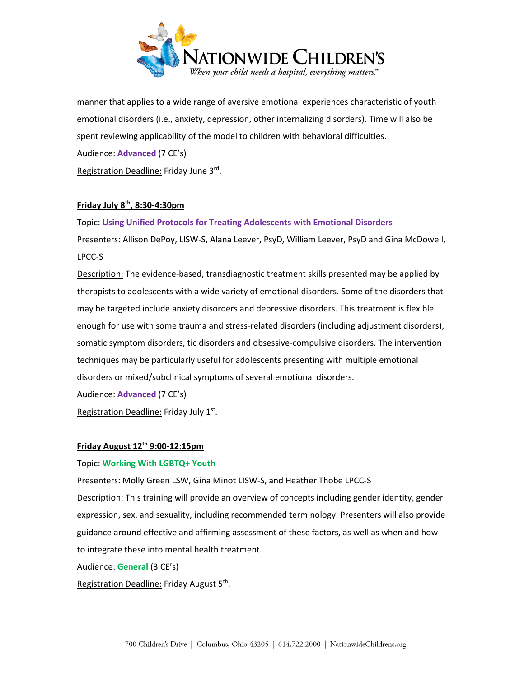

manner that applies to a wide range of aversive emotional experiences characteristic of youth emotional disorders (i.e., anxiety, depression, other internalizing disorders). Time will also be spent reviewing applicability of the model to children with behavioral difficulties.

Audience: **Advanced** (7 CE's)

Registration Deadline: Friday June 3rd.

## **Friday July 8th, 8:30-4:30pm**

Topic: **[Using Unified Protocols for Treating Adolescents](https://nationwidechildrens.cloud-cme.com/course/courseoverview?P=0&EID=19138) with Emotional Disorders**

Presenters: Allison DePoy, LISW-S, Alana Leever, PsyD, William Leever, PsyD and Gina McDowell, LPCC-S

Description: The evidence-based, transdiagnostic treatment skills presented may be applied by therapists to adolescents with a wide variety of emotional disorders. Some of the disorders that may be targeted include anxiety disorders and depressive disorders. This treatment is flexible enough for use with some trauma and stress-related disorders (including adjustment disorders), somatic symptom disorders, tic disorders and obsessive-compulsive disorders. The intervention techniques may be particularly useful for adolescents presenting with multiple emotional disorders or mixed/subclinical symptoms of several emotional disorders.

Audience: **Advanced** (7 CE's)

Registration Deadline: Friday July 1<sup>st</sup>.

# **Friday August 12th 9:00-12:15pm**

# Topic: **[Working With LGBTQ+ Youth](https://nationwidechildrens.cloud-cme.com/course/courseoverview?P=0&EID=19139)**

Presenters: Molly Green LSW, Gina Minot LISW-S, and Heather Thobe LPCC-S

Description: This training will provide an overview of concepts including gender identity, gender expression, sex, and sexuality, including recommended terminology. Presenters will also provide guidance around effective and affirming assessment of these factors, as well as when and how to integrate these into mental health treatment.

Audience: **General** (3 CE's)

Registration Deadline: Friday August 5<sup>th</sup>.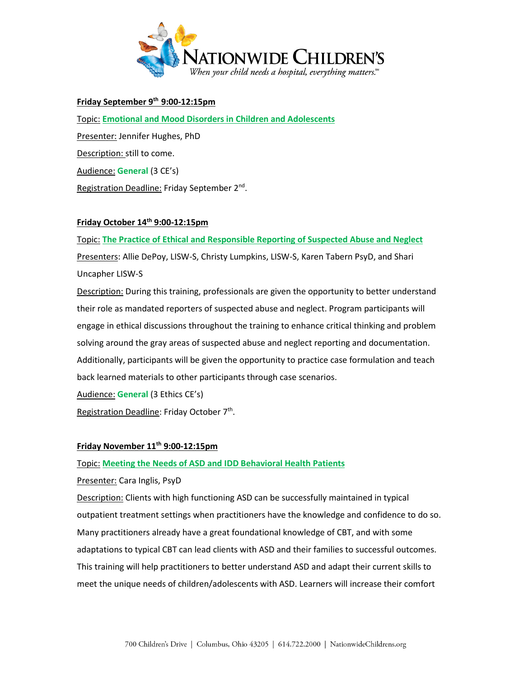

# **Friday September 9th 9:00-12:15pm**

Topic: **[Emotional and Mood Disorders in Children and Adolescents](https://nationwidechildrens.cloud-cme.com/course/courseoverview?P=0&EID=22286)** Presenter: Jennifer Hughes, PhD Description: still to come. Audience: **General** (3 CE's) Registration Deadline: Friday September 2<sup>nd</sup>.

## **Friday October 14th 9:00-12:15pm**

Topic: **[The Practice of Ethical and Responsible Reporting of Suspected Abuse and Neglect](https://nationwidechildrens.cloud-cme.com/course/courseoverview?P=0&EID=22288)** Presenters: Allie DePoy, LISW-S, Christy Lumpkins, LISW-S, Karen Tabern PsyD, and Shari Uncapher LISW-S

Description: During this training, professionals are given the opportunity to better understand their role as mandated reporters of suspected abuse and neglect. Program participants will engage in ethical discussions throughout the training to enhance critical thinking and problem solving around the gray areas of suspected abuse and neglect reporting and documentation. Additionally, participants will be given the opportunity to practice case formulation and teach back learned materials to other participants through case scenarios.

Audience: **General** (3 Ethics CE's)

Registration Deadline: Friday October 7<sup>th</sup>.

## **Friday November 11th 9:00-12:15pm**

Topic: **[Meeting the Needs of ASD and IDD Behavioral Health Patients](https://nationwidechildrens.cloud-cme.com/course/courseoverview?P=0&EID=22290)**

Presenter: Cara Inglis, PsyD

Description: Clients with high functioning ASD can be successfully maintained in typical outpatient treatment settings when practitioners have the knowledge and confidence to do so. Many practitioners already have a great foundational knowledge of CBT, and with some adaptations to typical CBT can lead clients with ASD and their families to successful outcomes. This training will help practitioners to better understand ASD and adapt their current skills to meet the unique needs of children/adolescents with ASD. Learners will increase their comfort